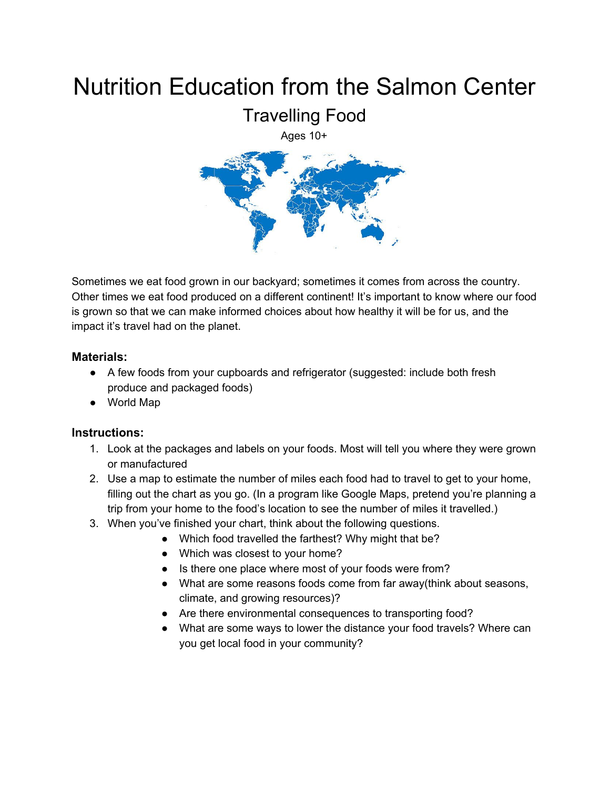## Nutrition Education from the Salmon Center



Sometimes we eat food grown in our backyard; sometimes it comes from across the country. Other times we eat food produced on a different continent! It's important to know where our food is grown so that we can make informed choices about how healthy it will be for us, and the impact it's travel had on the planet.

## **Materials:**

- A few foods from your cupboards and refrigerator (suggested: include both fresh produce and packaged foods)
- World Map

## **Instructions:**

- 1. Look at the packages and labels on your foods. Most will tell you where they were grown or manufactured
- 2. Use a map to estimate the number of miles each food had to travel to get to your home, filling out the chart as you go. (In a program like Google Maps, pretend you're planning a trip from your home to the food's location to see the number of miles it travelled.)
- 3. When you've finished your chart, think about the following questions.
	- Which food travelled the farthest? Why might that be?
	- Which was closest to your home?
	- Is there one place where most of your foods were from?
	- What are some reasons foods come from far away(think about seasons, climate, and growing resources)?
	- Are there environmental consequences to transporting food?
	- What are some ways to lower the distance your food travels? Where can you get local food in your community?